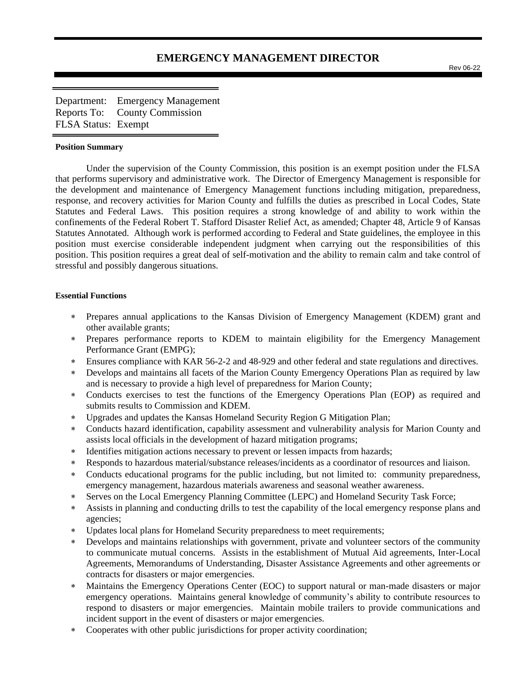# **EMERGENCY MANAGEMENT DIRECTOR**

Rev 06-22

Department: Emergency Management Reports To: County Commission FLSA Status: Exempt

#### **Position Summary**

Under the supervision of the County Commission, this position is an exempt position under the FLSA that performs supervisory and administrative work. The Director of Emergency Management is responsible for the development and maintenance of Emergency Management functions including mitigation, preparedness, response, and recovery activities for Marion County and fulfills the duties as prescribed in Local Codes, State Statutes and Federal Laws. This position requires a strong knowledge of and ability to work within the confinements of the Federal Robert T. Stafford Disaster Relief Act, as amended; Chapter 48, Article 9 of Kansas Statutes Annotated. Although work is performed according to Federal and State guidelines, the employee in this position must exercise considerable independent judgment when carrying out the responsibilities of this position. This position requires a great deal of self-motivation and the ability to remain calm and take control of stressful and possibly dangerous situations.

## **Essential Functions**

- Prepares annual applications to the Kansas Division of Emergency Management (KDEM) grant and other available grants;
- Prepares performance reports to KDEM to maintain eligibility for the Emergency Management Performance Grant (EMPG);
- Ensures compliance with KAR 56-2-2 and 48-929 and other federal and state regulations and directives.
- Develops and maintains all facets of the Marion County Emergency Operations Plan as required by law and is necessary to provide a high level of preparedness for Marion County;
- Conducts exercises to test the functions of the Emergency Operations Plan (EOP) as required and submits results to Commission and KDEM.
- Upgrades and updates the Kansas Homeland Security Region G Mitigation Plan;
- Conducts hazard identification, capability assessment and vulnerability analysis for Marion County and assists local officials in the development of hazard mitigation programs;
- \* Identifies mitigation actions necessary to prevent or lessen impacts from hazards;
- Responds to hazardous material/substance releases/incidents as a coordinator of resources and liaison.
- Conducts educational programs for the public including, but not limited to: community preparedness, emergency management, hazardous materials awareness and seasonal weather awareness.
- Serves on the Local Emergency Planning Committee (LEPC) and Homeland Security Task Force;
- Assists in planning and conducting drills to test the capability of the local emergency response plans and agencies;
- Updates local plans for Homeland Security preparedness to meet requirements;
- Develops and maintains relationships with government, private and volunteer sectors of the community to communicate mutual concerns. Assists in the establishment of Mutual Aid agreements, Inter-Local Agreements, Memorandums of Understanding, Disaster Assistance Agreements and other agreements or contracts for disasters or major emergencies.
- Maintains the Emergency Operations Center (EOC) to support natural or man-made disasters or major emergency operations. Maintains general knowledge of community's ability to contribute resources to respond to disasters or major emergencies. Maintain mobile trailers to provide communications and incident support in the event of disasters or major emergencies.
- Cooperates with other public jurisdictions for proper activity coordination;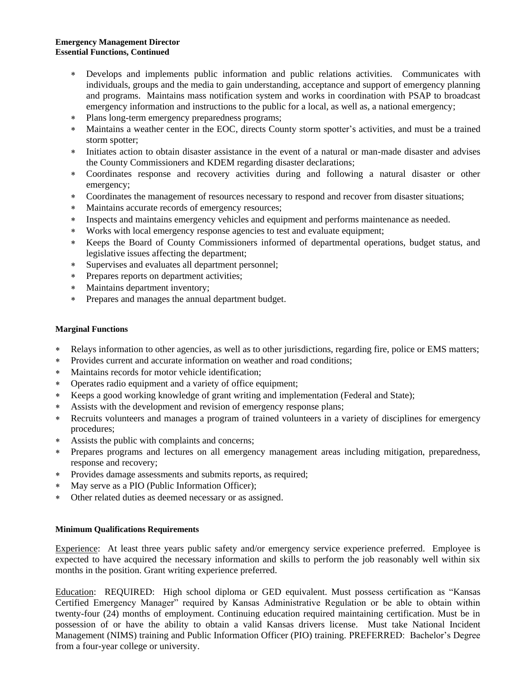## **Emergency Management Director Essential Functions, Continued**

- Develops and implements public information and public relations activities. Communicates with individuals, groups and the media to gain understanding, acceptance and support of emergency planning and programs. Maintains mass notification system and works in coordination with PSAP to broadcast emergency information and instructions to the public for a local, as well as, a national emergency;
- Plans long-term emergency preparedness programs;
- Maintains a weather center in the EOC, directs County storm spotter's activities, and must be a trained storm spotter;
- Initiates action to obtain disaster assistance in the event of a natural or man-made disaster and advises the County Commissioners and KDEM regarding disaster declarations;
- Coordinates response and recovery activities during and following a natural disaster or other emergency;
- Coordinates the management of resources necessary to respond and recover from disaster situations;
- Maintains accurate records of emergency resources;
- Inspects and maintains emergency vehicles and equipment and performs maintenance as needed.
- Works with local emergency response agencies to test and evaluate equipment;
- Keeps the Board of County Commissioners informed of departmental operations, budget status, and legislative issues affecting the department;
- Supervises and evaluates all department personnel;
- Prepares reports on department activities;
- Maintains department inventory;
- Prepares and manages the annual department budget.

# **Marginal Functions**

- Relays information to other agencies, as well as to other jurisdictions, regarding fire, police or EMS matters;
- Provides current and accurate information on weather and road conditions;
- Maintains records for motor vehicle identification;
- Operates radio equipment and a variety of office equipment;
- Keeps a good working knowledge of grant writing and implementation (Federal and State);
- Assists with the development and revision of emergency response plans;
- Recruits volunteers and manages a program of trained volunteers in a variety of disciplines for emergency procedures;
- Assists the public with complaints and concerns;
- Prepares programs and lectures on all emergency management areas including mitigation, preparedness, response and recovery;
- Provides damage assessments and submits reports, as required;
- May serve as a PIO (Public Information Officer);
- Other related duties as deemed necessary or as assigned.

# **Minimum Qualifications Requirements**

Experience: At least three years public safety and/or emergency service experience preferred. Employee is expected to have acquired the necessary information and skills to perform the job reasonably well within six months in the position. Grant writing experience preferred.

Education: REQUIRED: High school diploma or GED equivalent. Must possess certification as "Kansas Certified Emergency Manager" required by Kansas Administrative Regulation or be able to obtain within twenty-four (24) months of employment. Continuing education required maintaining certification. Must be in possession of or have the ability to obtain a valid Kansas drivers license. Must take National Incident Management (NIMS) training and Public Information Officer (PIO) training. PREFERRED: Bachelor's Degree from a four-year college or university.